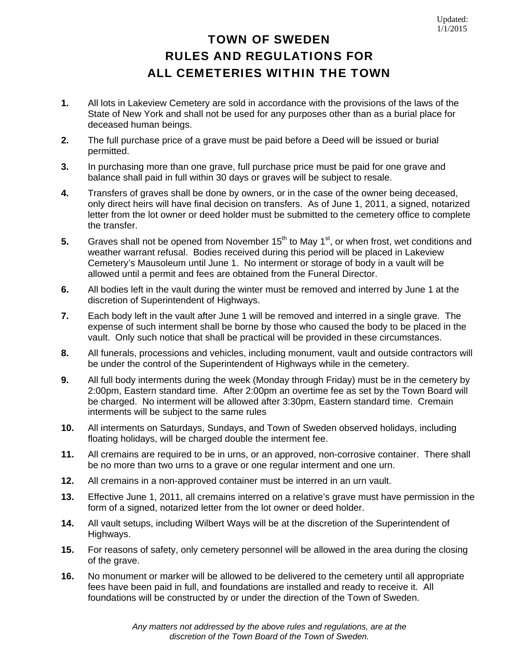## TOWN OF SWEDEN RULES AND REGULATIONS FOR ALL CEMETERIES WITHIN THE TOWN

- **1.** All lots in Lakeview Cemetery are sold in accordance with the provisions of the laws of the State of New York and shall not be used for any purposes other than as a burial place for deceased human beings.
- **2.** The full purchase price of a grave must be paid before a Deed will be issued or burial permitted.
- **3.** In purchasing more than one grave, full purchase price must be paid for one grave and balance shall paid in full within 30 days or graves will be subject to resale.
- **4.** Transfers of graves shall be done by owners, or in the case of the owner being deceased, only direct heirs will have final decision on transfers. As of June 1, 2011, a signed, notarized letter from the lot owner or deed holder must be submitted to the cemetery office to complete the transfer.
- **5.** Graves shall not be opened from November 15<sup>th</sup> to May 1<sup>st</sup>, or when frost, wet conditions and weather warrant refusal. Bodies received during this period will be placed in Lakeview Cemetery's Mausoleum until June 1. No interment or storage of body in a vault will be allowed until a permit and fees are obtained from the Funeral Director.
- **6.** All bodies left in the vault during the winter must be removed and interred by June 1 at the discretion of Superintendent of Highways.
- **7.** Each body left in the vault after June 1 will be removed and interred in a single grave. The expense of such interment shall be borne by those who caused the body to be placed in the vault. Only such notice that shall be practical will be provided in these circumstances.
- **8.** All funerals, processions and vehicles, including monument, vault and outside contractors will be under the control of the Superintendent of Highways while in the cemetery.
- **9.** All full body interments during the week (Monday through Friday) must be in the cemetery by 2:00pm, Eastern standard time. After 2:00pm an overtime fee as set by the Town Board will be charged. No interment will be allowed after 3:30pm, Eastern standard time. Cremain interments will be subject to the same rules
- **10.** All interments on Saturdays, Sundays, and Town of Sweden observed holidays, including floating holidays, will be charged double the interment fee.
- **11.** All cremains are required to be in urns, or an approved, non-corrosive container. There shall be no more than two urns to a grave or one regular interment and one urn.
- **12.** All cremains in a non-approved container must be interred in an urn vault.
- **13.** Effective June 1, 2011, all cremains interred on a relative's grave must have permission in the form of a signed, notarized letter from the lot owner or deed holder.
- **14.** All vault setups, including Wilbert Ways will be at the discretion of the Superintendent of Highways.
- **15.** For reasons of safety, only cemetery personnel will be allowed in the area during the closing of the grave.
- **16.** No monument or marker will be allowed to be delivered to the cemetery until all appropriate fees have been paid in full, and foundations are installed and ready to receive it. All foundations will be constructed by or under the direction of the Town of Sweden.